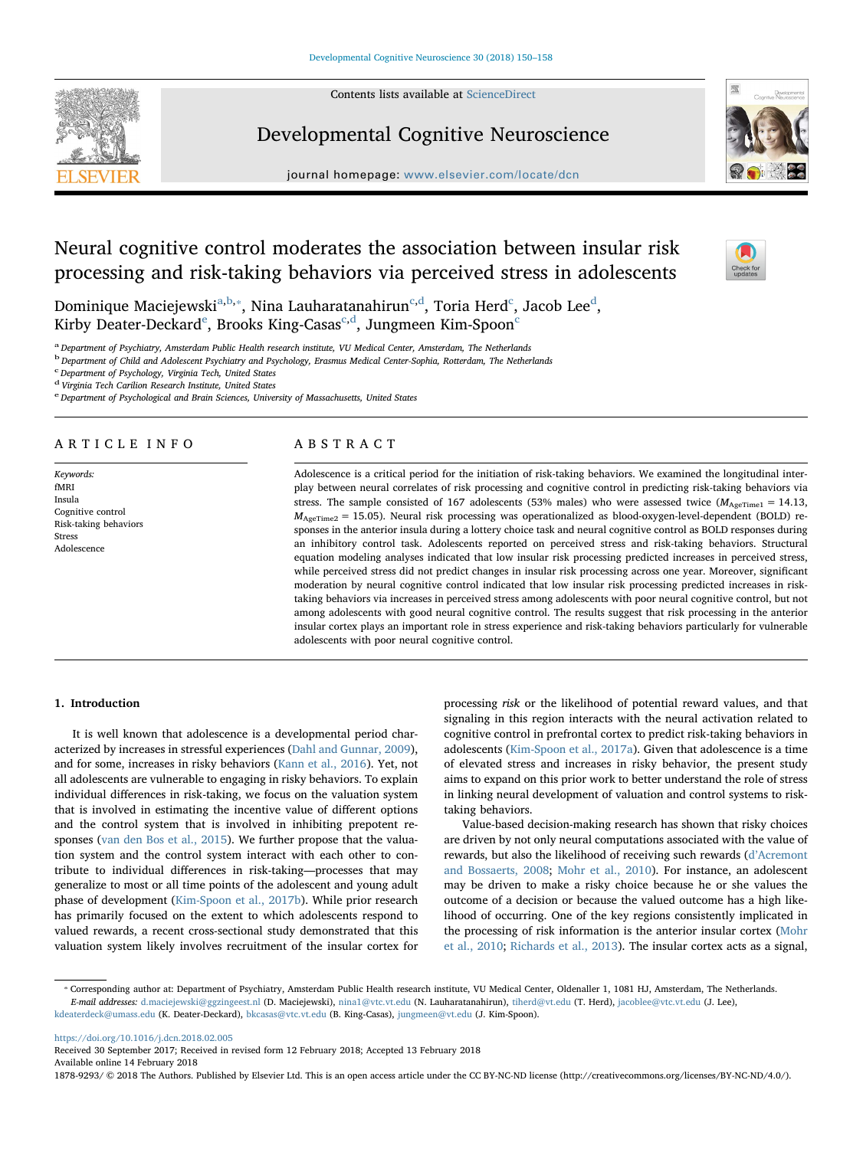Contents lists available at [ScienceDirect](http://www.sciencedirect.com/science/journal/18789293)



## Developmental Cognitive Neuroscience

journal homepage: [www.elsevier.com/locate/dcn](https://www.elsevier.com/locate/dcn)



# Neural cognitive control moderates the association between insular risk processing and risk-taking behaviors via perceived stress in adolescents



Dominique M[a](#page-0-0)[c](#page-0-3)iejewski $^{\mathrm{a,b,*}}$  $^{\mathrm{a,b,*}}$  $^{\mathrm{a,b,*}}$ , Nina Lauharatanahirun $^{\mathrm{c,d}}$  $^{\mathrm{c,d}}$  $^{\mathrm{c,d}}$ , Toria Herd $^{\mathrm{c}}$ , Jacob Lee $^{\mathrm{d}}$ , Kirby D[e](#page-0-5)ater-De[c](#page-0-3)kar[d](#page-0-4) $^{\rm e}$ , Brooks King-Casas $^{\rm c,d}$ , Jungmeen Kim-Spoon $^{\rm c}$ 

<span id="page-0-0"></span>a Department of Psychiatry, Amsterdam Public Health research institute, VU Medical Center, Amsterdam, The Netherlands

<span id="page-0-1"></span><sup>b</sup> Department of Child and Adolescent Psychiatry and Psychology, Erasmus Medical Center-Sophia, Rotterdam, The Netherlands

<span id="page-0-3"></span>Department of Psychology, Virginia Tech, United States

<span id="page-0-4"></span><sup>d</sup> Virginia Tech Carilion Research Institute, United States

<span id="page-0-5"></span>e Department of Psychological and Brain Sciences, University of Massachusetts, United States

## ARTICLE INFO

Keywords: fMRI Insula Cognitive control Risk-taking behaviors Stress Adolescence

## ABSTRACT

Adolescence is a critical period for the initiation of risk-taking behaviors. We examined the longitudinal interplay between neural correlates of risk processing and cognitive control in predicting risk-taking behaviors via stress. The sample consisted of 167 adolescents (53% males) who were assessed twice  $(M_{AgeTime1} = 14.13,$  $M_{\text{AgeTime2}} = 15.05$ ). Neural risk processing was operationalized as blood-oxygen-level-dependent (BOLD) responses in the anterior insula during a lottery choice task and neural cognitive control as BOLD responses during an inhibitory control task. Adolescents reported on perceived stress and risk-taking behaviors. Structural equation modeling analyses indicated that low insular risk processing predicted increases in perceived stress, while perceived stress did not predict changes in insular risk processing across one year. Moreover, significant moderation by neural cognitive control indicated that low insular risk processing predicted increases in risktaking behaviors via increases in perceived stress among adolescents with poor neural cognitive control, but not among adolescents with good neural cognitive control. The results suggest that risk processing in the anterior insular cortex plays an important role in stress experience and risk-taking behaviors particularly for vulnerable adolescents with poor neural cognitive control.

## 1. Introduction

It is well known that adolescence is a developmental period characterized by increases in stressful experiences ([Dahl and Gunnar, 2009](#page-7-0)), and for some, increases in risky behaviors ([Kann et al., 2016](#page-7-1)). Yet, not all adolescents are vulnerable to engaging in risky behaviors. To explain individual differences in risk-taking, we focus on the valuation system that is involved in estimating the incentive value of different options and the control system that is involved in inhibiting prepotent responses ([van den Bos et al., 2015\)](#page-8-0). We further propose that the valuation system and the control system interact with each other to contribute to individual differences in risk-taking—processes that may generalize to most or all time points of the adolescent and young adult phase of development [\(Kim-Spoon et al., 2017b\)](#page-7-2). While prior research has primarily focused on the extent to which adolescents respond to valued rewards, a recent cross-sectional study demonstrated that this valuation system likely involves recruitment of the insular cortex for

processing risk or the likelihood of potential reward values, and that signaling in this region interacts with the neural activation related to cognitive control in prefrontal cortex to predict risk-taking behaviors in adolescents [\(Kim-Spoon et al., 2017a\)](#page-7-3). Given that adolescence is a time of elevated stress and increases in risky behavior, the present study aims to expand on this prior work to better understand the role of stress in linking neural development of valuation and control systems to risktaking behaviors.

Value-based decision-making research has shown that risky choices are driven by not only neural computations associated with the value of rewards, but also the likelihood of receiving such rewards (d'[Acremont](#page-7-4) [and Bossaerts, 2008](#page-7-4); [Mohr et al., 2010\)](#page-7-5). For instance, an adolescent may be driven to make a risky choice because he or she values the outcome of a decision or because the valued outcome has a high likelihood of occurring. One of the key regions consistently implicated in the processing of risk information is the anterior insular cortex ([Mohr](#page-7-5) [et al., 2010](#page-7-5); [Richards et al., 2013\)](#page-8-1). The insular cortex acts as a signal,

<span id="page-0-2"></span>⁎ Corresponding author at: Department of Psychiatry, Amsterdam Public Health research institute, VU Medical Center, Oldenaller 1, 1081 HJ, Amsterdam, The Netherlands. E-mail addresses: [d.maciejewski@ggzingeest.nl](mailto:d.maciejewski@ggzingeest.nl) (D. Maciejewski), [nina1@vtc.vt.edu](mailto:nina1@vtc.vt.edu) (N. Lauharatanahirun), [tiherd@vt.edu](mailto:tiherd@vt.edu) (T. Herd), [jacoblee@vtc.vt.edu](mailto:jacoblee@vtc.vt.edu) (J. Lee), [kdeaterdeck@umass.edu](mailto:kdeaterdeck@umass.edu) (K. Deater-Deckard), [bkcasas@vtc.vt.edu](mailto:bkcasas@vtc.vt.edu) (B. King-Casas), [jungmeen@vt.edu](mailto:jungmeen@vt.edu) (J. Kim-Spoon).

<https://doi.org/10.1016/j.dcn.2018.02.005>

Received 30 September 2017; Received in revised form 12 February 2018; Accepted 13 February 2018 Available online 14 February 2018

1878-9293/ © 2018 The Authors. Published by Elsevier Ltd. This is an open access article under the CC BY-NC-ND license (http://creativecommons.org/licenses/BY-NC-ND/4.0/).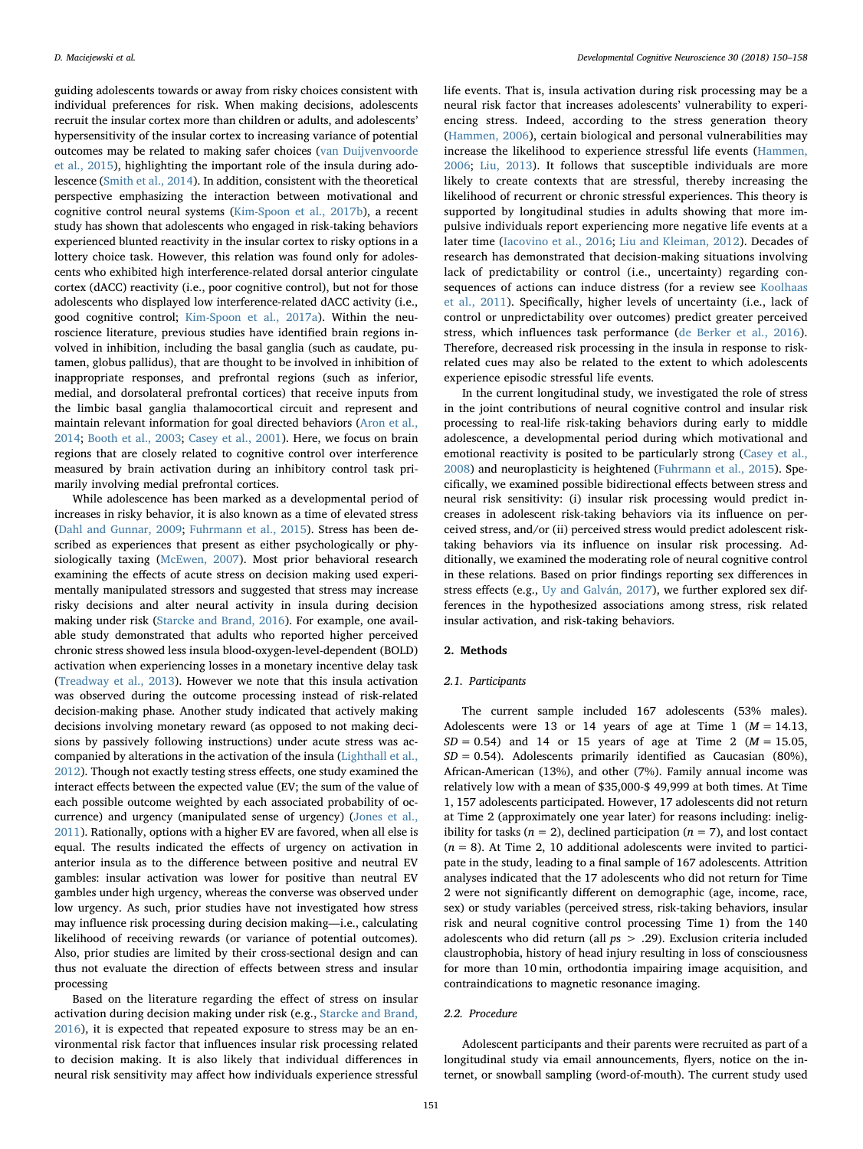guiding adolescents towards or away from risky choices consistent with individual preferences for risk. When making decisions, adolescents recruit the insular cortex more than children or adults, and adolescents' hypersensitivity of the insular cortex to increasing variance of potential outcomes may be related to making safer choices [\(van Duijvenvoorde](#page-8-2) [et al., 2015](#page-8-2)), highlighting the important role of the insula during adolescence ([Smith et al., 2014](#page-8-3)). In addition, consistent with the theoretical perspective emphasizing the interaction between motivational and cognitive control neural systems ([Kim-Spoon et al., 2017b\)](#page-7-2), a recent study has shown that adolescents who engaged in risk-taking behaviors experienced blunted reactivity in the insular cortex to risky options in a lottery choice task. However, this relation was found only for adolescents who exhibited high interference-related dorsal anterior cingulate cortex (dACC) reactivity (i.e., poor cognitive control), but not for those adolescents who displayed low interference-related dACC activity (i.e., good cognitive control; [Kim-Spoon et al., 2017a](#page-7-3)). Within the neuroscience literature, previous studies have identified brain regions involved in inhibition, including the basal ganglia (such as caudate, putamen, globus pallidus), that are thought to be involved in inhibition of inappropriate responses, and prefrontal regions (such as inferior, medial, and dorsolateral prefrontal cortices) that receive inputs from the limbic basal ganglia thalamocortical circuit and represent and maintain relevant information for goal directed behaviors ([Aron et al.,](#page-7-6) [2014;](#page-7-6) [Booth et al., 2003](#page-7-7); [Casey et al., 2001](#page-7-8)). Here, we focus on brain regions that are closely related to cognitive control over interference measured by brain activation during an inhibitory control task primarily involving medial prefrontal cortices.

While adolescence has been marked as a developmental period of increases in risky behavior, it is also known as a time of elevated stress ([Dahl and Gunnar, 2009;](#page-7-0) [Fuhrmann et al., 2015\)](#page-7-9). Stress has been described as experiences that present as either psychologically or physiologically taxing ([McEwen, 2007](#page-7-10)). Most prior behavioral research examining the effects of acute stress on decision making used experimentally manipulated stressors and suggested that stress may increase risky decisions and alter neural activity in insula during decision making under risk [\(Starcke and Brand, 2016\)](#page-8-4). For example, one available study demonstrated that adults who reported higher perceived chronic stress showed less insula blood-oxygen-level-dependent (BOLD) activation when experiencing losses in a monetary incentive delay task ([Treadway et al., 2013\)](#page-8-5). However we note that this insula activation was observed during the outcome processing instead of risk-related decision-making phase. Another study indicated that actively making decisions involving monetary reward (as opposed to not making decisions by passively following instructions) under acute stress was accompanied by alterations in the activation of the insula ([Lighthall et al.,](#page-7-11) [2012\)](#page-7-11). Though not exactly testing stress effects, one study examined the interact effects between the expected value (EV; the sum of the value of each possible outcome weighted by each associated probability of occurrence) and urgency (manipulated sense of urgency) [\(Jones et al.,](#page-7-12) [2011\)](#page-7-12). Rationally, options with a higher EV are favored, when all else is equal. The results indicated the effects of urgency on activation in anterior insula as to the difference between positive and neutral EV gambles: insular activation was lower for positive than neutral EV gambles under high urgency, whereas the converse was observed under low urgency. As such, prior studies have not investigated how stress may influence risk processing during decision making—i.e., calculating likelihood of receiving rewards (or variance of potential outcomes). Also, prior studies are limited by their cross-sectional design and can thus not evaluate the direction of effects between stress and insular processing

Based on the literature regarding the effect of stress on insular activation during decision making under risk (e.g., [Starcke and Brand,](#page-8-4) [2016\)](#page-8-4), it is expected that repeated exposure to stress may be an environmental risk factor that influences insular risk processing related to decision making. It is also likely that individual differences in neural risk sensitivity may affect how individuals experience stressful life events. That is, insula activation during risk processing may be a neural risk factor that increases adolescents' vulnerability to experiencing stress. Indeed, according to the stress generation theory ([Hammen, 2006](#page-7-13)), certain biological and personal vulnerabilities may increase the likelihood to experience stressful life events ([Hammen,](#page-7-13) [2006;](#page-7-13) [Liu, 2013\)](#page-7-14). It follows that susceptible individuals are more likely to create contexts that are stressful, thereby increasing the likelihood of recurrent or chronic stressful experiences. This theory is supported by longitudinal studies in adults showing that more impulsive individuals report experiencing more negative life events at a later time ([Iacovino et al., 2016;](#page-7-15) [Liu and Kleiman, 2012\)](#page-7-16). Decades of research has demonstrated that decision-making situations involving lack of predictability or control (i.e., uncertainty) regarding consequences of actions can induce distress (for a review see [Koolhaas](#page-7-17) [et al., 2011\)](#page-7-17). Specifically, higher levels of uncertainty (i.e., lack of control or unpredictability over outcomes) predict greater perceived stress, which influences task performance ([de Berker et al., 2016](#page-7-18)). Therefore, decreased risk processing in the insula in response to riskrelated cues may also be related to the extent to which adolescents experience episodic stressful life events.

In the current longitudinal study, we investigated the role of stress in the joint contributions of neural cognitive control and insular risk processing to real-life risk-taking behaviors during early to middle adolescence, a developmental period during which motivational and emotional reactivity is posited to be particularly strong [\(Casey et al.,](#page-7-19) [2008\)](#page-7-19) and neuroplasticity is heightened ([Fuhrmann et al., 2015\)](#page-7-9). Specifically, we examined possible bidirectional effects between stress and neural risk sensitivity: (i) insular risk processing would predict increases in adolescent risk-taking behaviors via its influence on perceived stress, and/or (ii) perceived stress would predict adolescent risktaking behaviors via its influence on insular risk processing. Additionally, we examined the moderating role of neural cognitive control in these relations. Based on prior findings reporting sex differences in stress effects (e.g., [Uy and Galván, 2017](#page-8-6)), we further explored sex differences in the hypothesized associations among stress, risk related insular activation, and risk-taking behaviors.

## 2. Methods

#### 2.1. Participants

The current sample included 167 adolescents (53% males). Adolescents were 13 or 14 years of age at Time 1 ( $M = 14.13$ ,  $SD = 0.54$ ) and 14 or 15 years of age at Time 2 ( $M = 15.05$ ,  $SD = 0.54$ ). Adolescents primarily identified as Caucasian (80%), African-American (13%), and other (7%). Family annual income was relatively low with a mean of \$35,000-\$ 49,999 at both times. At Time 1, 157 adolescents participated. However, 17 adolescents did not return at Time 2 (approximately one year later) for reasons including: ineligibility for tasks ( $n = 2$ ), declined participation ( $n = 7$ ), and lost contact  $(n = 8)$ . At Time 2, 10 additional adolescents were invited to participate in the study, leading to a final sample of 167 adolescents. Attrition analyses indicated that the 17 adolescents who did not return for Time 2 were not significantly different on demographic (age, income, race, sex) or study variables (perceived stress, risk-taking behaviors, insular risk and neural cognitive control processing Time 1) from the 140 adolescents who did return (all ps > .29). Exclusion criteria included claustrophobia, history of head injury resulting in loss of consciousness for more than 10 min, orthodontia impairing image acquisition, and contraindications to magnetic resonance imaging.

#### 2.2. Procedure

Adolescent participants and their parents were recruited as part of a longitudinal study via email announcements, flyers, notice on the internet, or snowball sampling (word-of-mouth). The current study used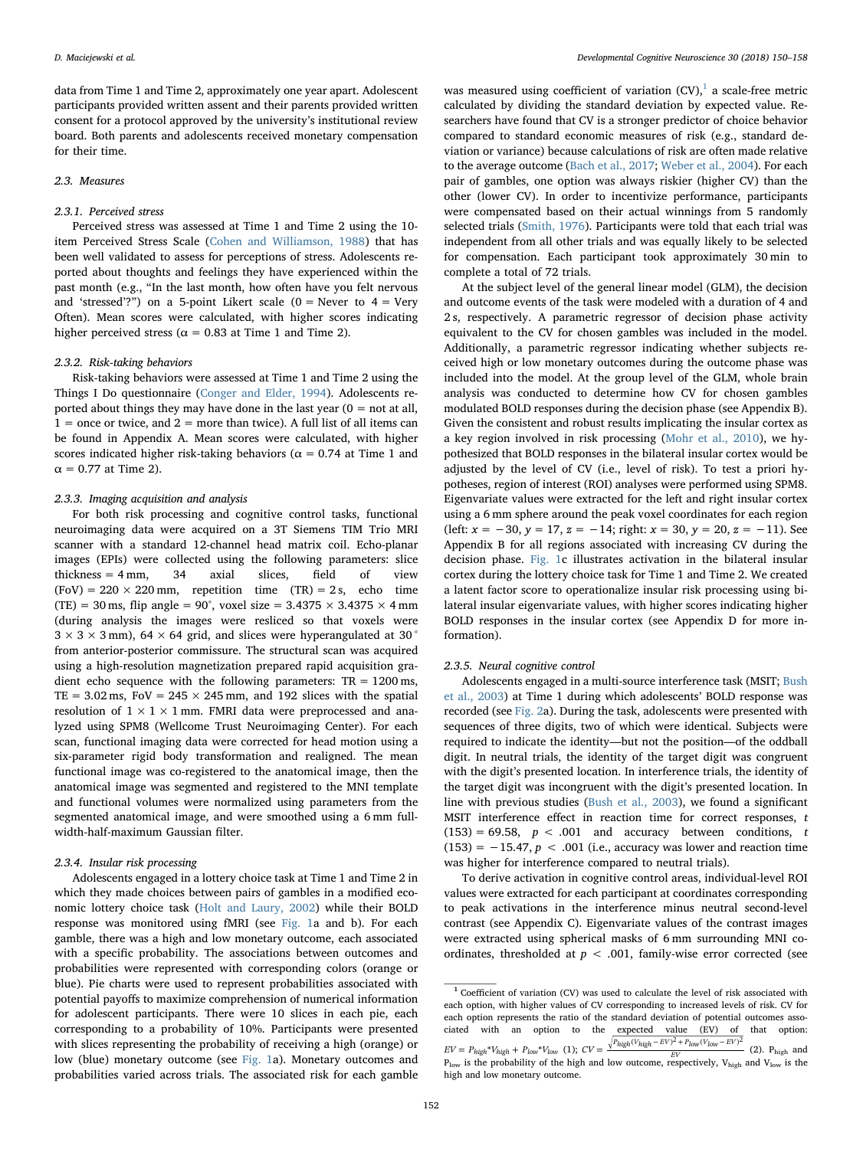data from Time 1 and Time 2, approximately one year apart. Adolescent participants provided written assent and their parents provided written consent for a protocol approved by the university's institutional review board. Both parents and adolescents received monetary compensation for their time.

#### 2.3. Measures

## 2.3.1. Perceived stress

Perceived stress was assessed at Time 1 and Time 2 using the 10 item Perceived Stress Scale ([Cohen and Williamson, 1988](#page-7-20)) that has been well validated to assess for perceptions of stress. Adolescents reported about thoughts and feelings they have experienced within the past month (e.g., "In the last month, how often have you felt nervous and 'stressed'?") on a 5-point Likert scale  $(0 =$  Never to  $4 =$  Very Often). Mean scores were calculated, with higher scores indicating higher perceived stress ( $\alpha$  = 0.83 at Time 1 and Time 2).

#### 2.3.2. Risk-taking behaviors

Risk-taking behaviors were assessed at Time 1 and Time 2 using the Things I Do questionnaire [\(Conger and Elder, 1994](#page-7-21)). Adolescents reported about things they may have done in the last year  $(0 = \text{not at all},$  $1 =$  once or twice, and  $2 =$  more than twice). A full list of all items can be found in Appendix A. Mean scores were calculated, with higher scores indicated higher risk-taking behaviors ( $\alpha$  = 0.74 at Time 1 and  $\alpha$  = 0.77 at Time 2).

### 2.3.3. Imaging acquisition and analysis

For both risk processing and cognitive control tasks, functional neuroimaging data were acquired on a 3T Siemens TIM Trio MRI scanner with a standard 12-channel head matrix coil. Echo-planar images (EPIs) were collected using the following parameters: slice thickness = 4 mm, 34 axial slices, field of view  $(FoV) = 220 \times 220$  mm, repetition time  $(TR) = 2$  s, echo time (TE) = 30 ms, flip angle = 90°, voxel size =  $3.4375 \times 3.4375 \times 4$  mm (during analysis the images were resliced so that voxels were  $3 \times 3 \times 3$  mm), 64  $\times$  64 grid, and slices were hyperangulated at 30 $^{\circ}$ from anterior-posterior commissure. The structural scan was acquired using a high-resolution magnetization prepared rapid acquisition gradient echo sequence with the following parameters:  $TR = 1200 \text{ ms}$ , TE =  $3.02 \text{ ms}$ , FoV =  $245 \times 245 \text{ mm}$ , and 192 slices with the spatial resolution of  $1 \times 1 \times 1$  mm. FMRI data were preprocessed and analyzed using SPM8 (Wellcome Trust Neuroimaging Center). For each scan, functional imaging data were corrected for head motion using a six-parameter rigid body transformation and realigned. The mean functional image was co-registered to the anatomical image, then the anatomical image was segmented and registered to the MNI template and functional volumes were normalized using parameters from the segmented anatomical image, and were smoothed using a 6 mm fullwidth-half-maximum Gaussian filter.

## 2.3.4. Insular risk processing

Adolescents engaged in a lottery choice task at Time 1 and Time 2 in which they made choices between pairs of gambles in a modified economic lottery choice task ([Holt and Laury, 2002\)](#page-7-22) while their BOLD response was monitored using fMRI (see [Fig. 1a](#page-3-0) and b). For each gamble, there was a high and low monetary outcome, each associated with a specific probability. The associations between outcomes and probabilities were represented with corresponding colors (orange or blue). Pie charts were used to represent probabilities associated with potential payoffs to maximize comprehension of numerical information for adolescent participants. There were 10 slices in each pie, each corresponding to a probability of 10%. Participants were presented with slices representing the probability of receiving a high (orange) or low (blue) monetary outcome (see [Fig. 1](#page-3-0)a). Monetary outcomes and probabilities varied across trials. The associated risk for each gamble

was measured using coefficient of variation  $(CV)$ ,<sup>1</sup> a scale-free metric calculated by dividing the standard deviation by expected value. Researchers have found that CV is a stronger predictor of choice behavior compared to standard economic measures of risk (e.g., standard deviation or variance) because calculations of risk are often made relative to the average outcome ([Bach et al., 2017](#page-7-23); [Weber et al., 2004](#page-8-7)). For each pair of gambles, one option was always riskier (higher CV) than the other (lower CV). In order to incentivize performance, participants were compensated based on their actual winnings from 5 randomly selected trials ([Smith, 1976\)](#page-8-8). Participants were told that each trial was independent from all other trials and was equally likely to be selected for compensation. Each participant took approximately 30 min to complete a total of 72 trials.

At the subject level of the general linear model (GLM), the decision and outcome events of the task were modeled with a duration of 4 and 2 s, respectively. A parametric regressor of decision phase activity equivalent to the CV for chosen gambles was included in the model. Additionally, a parametric regressor indicating whether subjects received high or low monetary outcomes during the outcome phase was included into the model. At the group level of the GLM, whole brain analysis was conducted to determine how CV for chosen gambles modulated BOLD responses during the decision phase (see Appendix B). Given the consistent and robust results implicating the insular cortex as a key region involved in risk processing ([Mohr et al., 2010](#page-7-5)), we hypothesized that BOLD responses in the bilateral insular cortex would be adjusted by the level of CV (i.e., level of risk). To test a priori hypotheses, region of interest (ROI) analyses were performed using SPM8. Eigenvariate values were extracted for the left and right insular cortex using a 6 mm sphere around the peak voxel coordinates for each region (left:  $x = -30$ ,  $y = 17$ ,  $z = -14$ ; right:  $x = 30$ ,  $y = 20$ ,  $z = -11$ ). See Appendix B for all regions associated with increasing CV during the decision phase. [Fig. 1c](#page-3-0) illustrates activation in the bilateral insular cortex during the lottery choice task for Time 1 and Time 2. We created a latent factor score to operationalize insular risk processing using bilateral insular eigenvariate values, with higher scores indicating higher BOLD responses in the insular cortex (see Appendix D for more information).

## 2.3.5. Neural cognitive control

Adolescents engaged in a multi-source interference task (MSIT; [Bush](#page-7-24) [et al., 2003\)](#page-7-24) at Time 1 during which adolescents' BOLD response was recorded (see [Fig. 2](#page-4-0)a). During the task, adolescents were presented with sequences of three digits, two of which were identical. Subjects were required to indicate the identity—but not the position—of the oddball digit. In neutral trials, the identity of the target digit was congruent with the digit's presented location. In interference trials, the identity of the target digit was incongruent with the digit's presented location. In line with previous studies [\(Bush et al., 2003](#page-7-24)), we found a significant MSIT interference effect in reaction time for correct responses, t  $(153) = 69.58$ ,  $p < .001$  and accuracy between conditions, t (153) =  $-15.47$ ,  $p < .001$  (i.e., accuracy was lower and reaction time was higher for interference compared to neutral trials).

To derive activation in cognitive control areas, individual-level ROI values were extracted for each participant at coordinates corresponding to peak activations in the interference minus neutral second-level contrast (see Appendix C). Eigenvariate values of the contrast images were extracted using spherical masks of 6 mm surrounding MNI coordinates, thresholded at  $p < .001$ , family-wise error corrected (see

<span id="page-2-0"></span><sup>&</sup>lt;sup>1</sup> Coefficient of variation (CV) was used to calculate the level of risk associated with each option, with higher values of CV corresponding to increased levels of risk. CV for each option represents the ratio of the standard deviation of potential outcomes associated with an option to the expected value (EV) of that option:  $EV = P_{high} * V_{high} + P_{low} * V_{low}$  (1);  $CV = \frac{\sqrt{P_{high}(V_{high} - EV)^2 + P_{low}(V_{low} - EV)^2}}{F_{low}F_{low}}$  (2). Phigh and *EV*  $P_{\text{low}}$  is the probability of the high and low outcome, respectively,  $V_{\text{high}}$  and  $V_{\text{low}}$  is the high and low monetary outcome.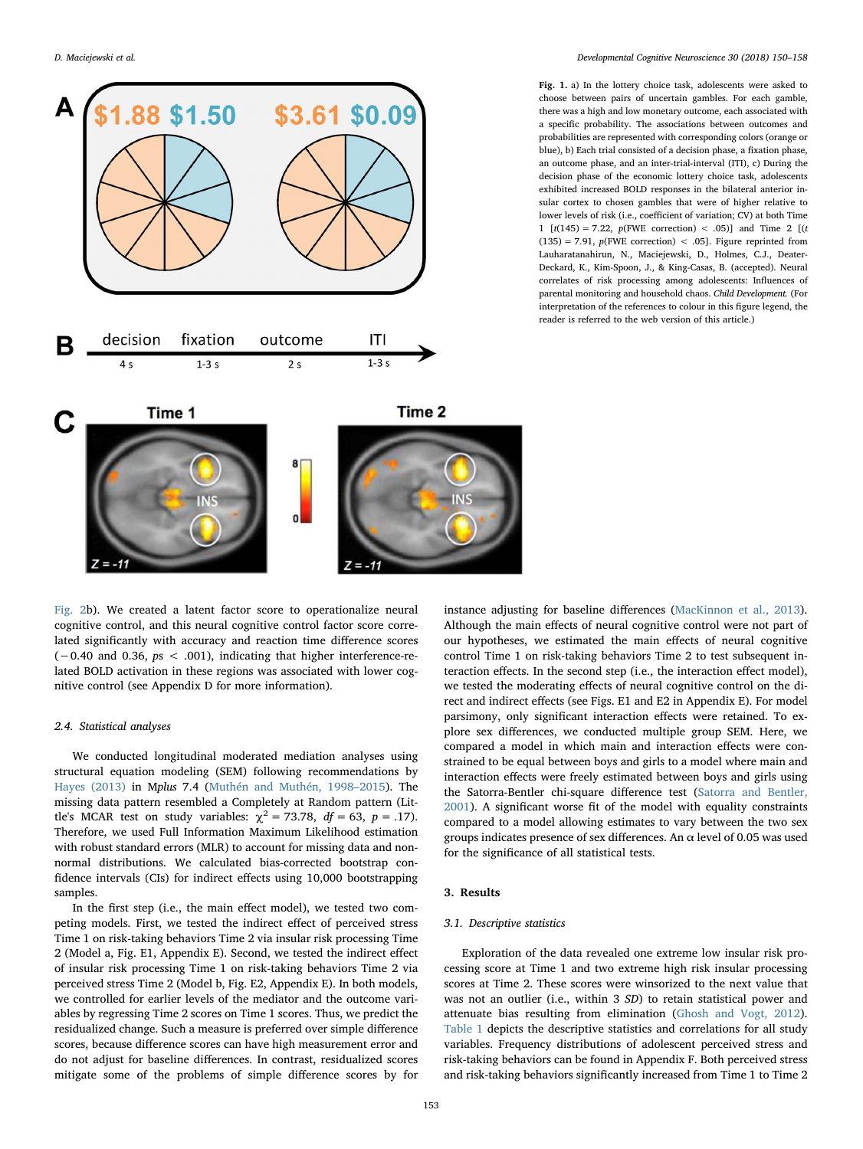<span id="page-3-0"></span>

[Fig. 2b](#page-4-0)). We created a latent factor score to operationalize neural cognitive control, and this neural cognitive control factor score correlated significantly with accuracy and reaction time difference scores (−0.40 and 0.36, ps < .001), indicating that higher interference-related BOLD activation in these regions was associated with lower cognitive control (see Appendix D for more information).

#### 2.4. Statistical analyses

We conducted longitudinal moderated mediation analyses using structural equation modeling (SEM) following recommendations by [Hayes \(2013\)](#page-7-25) in Mplus 7.4 [\(Muthén and Muthén, 1998](#page-8-9)–2015). The missing data pattern resembled a Completely at Random pattern (Little's MCAR test on study variables:  $\chi^2 = 73.78$ ,  $df = 63$ ,  $p = .17$ ). Therefore, we used Full Information Maximum Likelihood estimation with robust standard errors (MLR) to account for missing data and nonnormal distributions. We calculated bias-corrected bootstrap confidence intervals (CIs) for indirect effects using 10,000 bootstrapping samples.

In the first step (i.e., the main effect model), we tested two competing models. First, we tested the indirect effect of perceived stress Time 1 on risk-taking behaviors Time 2 via insular risk processing Time 2 (Model a, Fig. E1, Appendix E). Second, we tested the indirect effect of insular risk processing Time 1 on risk-taking behaviors Time 2 via perceived stress Time 2 (Model b, Fig. E2, Appendix E). In both models, we controlled for earlier levels of the mediator and the outcome variables by regressing Time 2 scores on Time 1 scores. Thus, we predict the residualized change. Such a measure is preferred over simple difference scores, because difference scores can have high measurement error and do not adjust for baseline differences. In contrast, residualized scores mitigate some of the problems of simple difference scores by for

Fig. 1. a) In the lottery choice task, adolescents were asked to choose between pairs of uncertain gambles. For each gamble, there was a high and low monetary outcome, each associated with a specific probability. The associations between outcomes and probabilities are represented with corresponding colors (orange or blue), b) Each trial consisted of a decision phase, a fixation phase, an outcome phase, and an inter-trial-interval (ITI), c) During the decision phase of the economic lottery choice task, adolescents exhibited increased BOLD responses in the bilateral anterior insular cortex to chosen gambles that were of higher relative to lower levels of risk (i.e., coefficient of variation; CV) at both Time 1  $[t(145) = 7.22, p(FWE correction) < .05]$  and Time 2  $[t$  $(135) = 7.91$ ,  $p$ (FWE correction) < .05]. Figure reprinted from Lauharatanahirun, N., Maciejewski, D., Holmes, C.J., Deater-Deckard, K., Kim-Spoon, J., & King-Casas, B. (accepted). Neural correlates of risk processing among adolescents: Influences of parental monitoring and household chaos. Child Development. (For interpretation of the references to colour in this figure legend, the reader is referred to the web version of this article.)

instance adjusting for baseline differences [\(MacKinnon et al., 2013](#page-7-26)). Although the main effects of neural cognitive control were not part of our hypotheses, we estimated the main effects of neural cognitive control Time 1 on risk-taking behaviors Time 2 to test subsequent interaction effects. In the second step (i.e., the interaction effect model), we tested the moderating effects of neural cognitive control on the direct and indirect effects (see Figs. E1 and E2 in Appendix E). For model parsimony, only significant interaction effects were retained. To explore sex differences, we conducted multiple group SEM. Here, we compared a model in which main and interaction effects were constrained to be equal between boys and girls to a model where main and interaction effects were freely estimated between boys and girls using the Satorra-Bentler chi-square difference test ([Satorra and Bentler,](#page-8-10) [2001\)](#page-8-10). A significant worse fit of the model with equality constraints compared to a model allowing estimates to vary between the two sex groups indicates presence of sex differences. An  $\alpha$  level of 0.05 was used for the significance of all statistical tests.

## 3. Results

## 3.1. Descriptive statistics

Exploration of the data revealed one extreme low insular risk processing score at Time 1 and two extreme high risk insular processing scores at Time 2. These scores were winsorized to the next value that was not an outlier (i.e., within 3 SD) to retain statistical power and attenuate bias resulting from elimination [\(Ghosh and Vogt, 2012](#page-7-27)). [Table 1](#page-4-1) depicts the descriptive statistics and correlations for all study variables. Frequency distributions of adolescent perceived stress and risk-taking behaviors can be found in Appendix F. Both perceived stress and risk-taking behaviors significantly increased from Time 1 to Time 2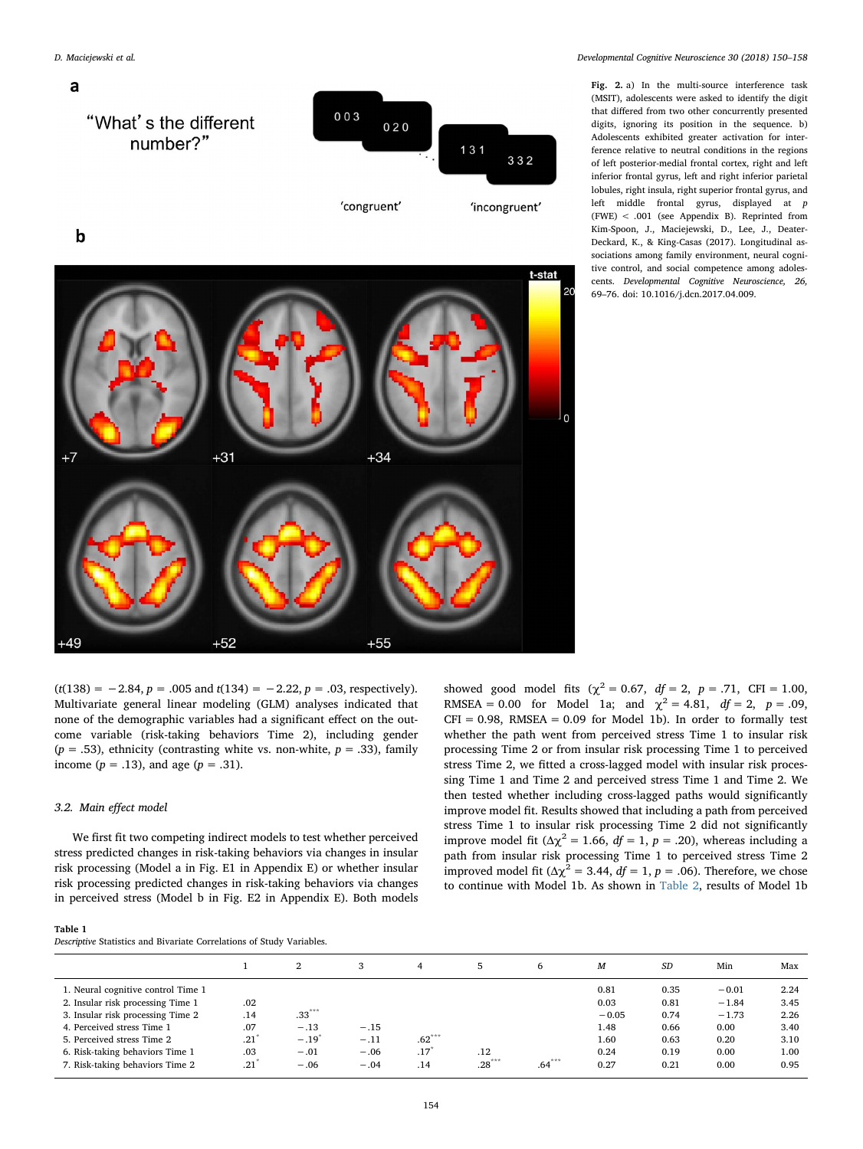<span id="page-4-0"></span>

D. Maciejewski et al. *Developmental Cognitive Neuroscience 30 (2018) 150–158*

Fig. 2. a) In the multi-source interference task (MSIT), adolescents were asked to identify the digit that differed from two other concurrently presented digits, ignoring its position in the sequence. b) Adolescents exhibited greater activation for interference relative to neutral conditions in the regions of left posterior-medial frontal cortex, right and left inferior frontal gyrus, left and right inferior parietal lobules, right insula, right superior frontal gyrus, and left middle frontal gyrus, displayed at p (FWE) < .001 (see Appendix B). Reprinted from Kim-Spoon, J., Maciejewski, D., Lee, J., Deater-Deckard, K., & King-Casas (2017). Longitudinal associations among family environment, neural cognitive control, and social competence among adolescents. Developmental Cognitive Neuroscience, 26, 69–76. doi: 10.1016/j.dcn.2017.04.009.

 $(t(138) = -2.84, p = .005 \text{ and } t(134) = -2.22, p = .03$ , respectively). Multivariate general linear modeling (GLM) analyses indicated that none of the demographic variables had a significant effect on the outcome variable (risk-taking behaviors Time 2), including gender ( $p = .53$ ), ethnicity (contrasting white vs. non-white,  $p = .33$ ), family income ( $p = .13$ ), and age ( $p = .31$ ).

## 3.2. Main effect model

We first fit two competing indirect models to test whether perceived stress predicted changes in risk-taking behaviors via changes in insular risk processing (Model a in Fig. E1 in Appendix E) or whether insular risk processing predicted changes in risk-taking behaviors via changes in perceived stress (Model b in Fig. E2 in Appendix E). Both models

showed good model fits ( $\chi^2 = 0.67$ ,  $df = 2$ ,  $p = .71$ , CFI = 1.00, RMSEA = 0.00 for Model 1a; and  $\chi^2 = 4.81$ ,  $df = 2$ ,  $p = .09$ ,  $CFI = 0.98$ , RMSEA = 0.09 for Model 1b). In order to formally test whether the path went from perceived stress Time 1 to insular risk processing Time 2 or from insular risk processing Time 1 to perceived stress Time 2, we fitted a cross-lagged model with insular risk processing Time 1 and Time 2 and perceived stress Time 1 and Time 2. We then tested whether including cross-lagged paths would significantly improve model fit. Results showed that including a path from perceived stress Time 1 to insular risk processing Time 2 did not significantly improve model fit ( $\Delta \chi^2 = 1.66$ ,  $df = 1$ ,  $p = .20$ ), whereas including a path from insular risk processing Time 1 to perceived stress Time 2 improved model fit ( $Δχ² = 3.44$ ,  $df = 1$ ,  $p = .06$ ). Therefore, we chose to continue with Model 1b. As shown in [Table 2,](#page-5-0) results of Model 1b

## <span id="page-4-1"></span>Table 1

Descriptive Statistics and Bivariate Correlations of Study Variables.

|                                                                                                                                                                                                             |                                 | 2                                          | 3                          | 4               | 5       | 6        | M                                               | SD                                           | Min                                                   | Max                                          |
|-------------------------------------------------------------------------------------------------------------------------------------------------------------------------------------------------------------|---------------------------------|--------------------------------------------|----------------------------|-----------------|---------|----------|-------------------------------------------------|----------------------------------------------|-------------------------------------------------------|----------------------------------------------|
| 1. Neural cognitive control Time 1<br>2. Insular risk processing Time 1<br>3. Insular risk processing Time 2<br>4. Perceived stress Time 1<br>5. Perceived stress Time 2<br>6. Risk-taking behaviors Time 1 | .02<br>.14<br>.07<br>.21<br>.03 | $.33***$<br>$-.13$<br>$-.19^{n}$<br>$-.01$ | $-.15$<br>$-.11$<br>$-.06$ | $.62***$<br>.17 | .12     |          | 0.81<br>0.03<br>$-0.05$<br>1.48<br>1.60<br>0.24 | 0.35<br>0.81<br>0.74<br>0.66<br>0.63<br>0.19 | $-0.01$<br>$-1.84$<br>$-1.73$<br>0.00<br>0.20<br>0.00 | 2.24<br>3.45<br>2.26<br>3.40<br>3.10<br>1.00 |
| 7. Risk-taking behaviors Time 2                                                                                                                                                                             | .21                             | $-.06$                                     | $-.04$                     | .14             | $28***$ | $.64***$ | 0.27                                            | 0.21                                         | 0.00                                                  | 0.95                                         |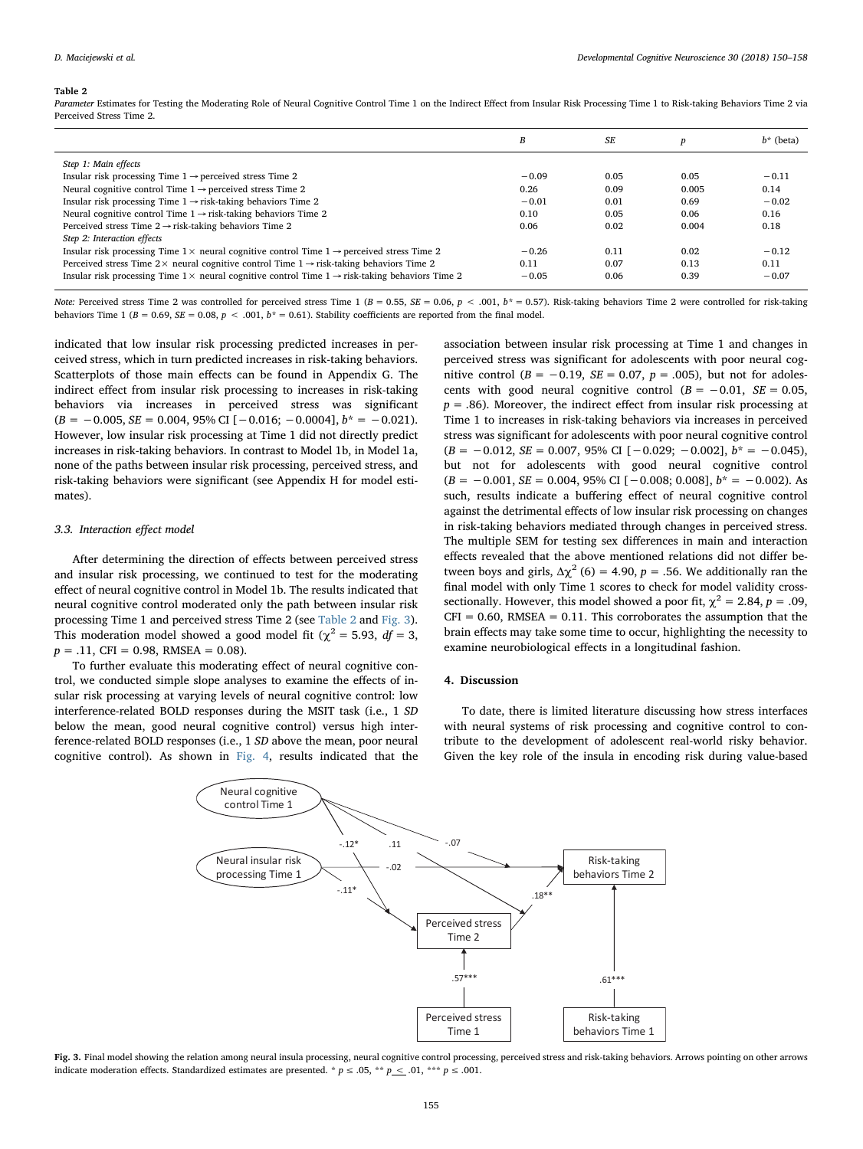#### <span id="page-5-0"></span>Table 2

Parameter Estimates for Testing the Moderating Role of Neural Cognitive Control Time 1 on the Indirect Effect from Insular Risk Processing Time 1 to Risk-taking Behaviors Time 2 via Perceived Stress Time 2.

|                                                                                                                    | B       | SF.  |       | $b^*$ (beta) |
|--------------------------------------------------------------------------------------------------------------------|---------|------|-------|--------------|
| Step 1: Main effects                                                                                               |         |      |       |              |
| Insular risk processing Time $1 \rightarrow$ perceived stress Time 2                                               | $-0.09$ | 0.05 | 0.05  | $-0.11$      |
| Neural cognitive control Time $1 \rightarrow$ perceived stress Time 2                                              | 0.26    | 0.09 | 0.005 | 0.14         |
| Insular risk processing Time $1 \rightarrow$ risk-taking behaviors Time 2                                          | $-0.01$ | 0.01 | 0.69  | $-0.02$      |
| Neural cognitive control Time $1 \rightarrow$ risk-taking behaviors Time 2                                         | 0.10    | 0.05 | 0.06  | 0.16         |
| Perceived stress Time $2 \rightarrow$ risk-taking behaviors Time 2                                                 | 0.06    | 0.02 | 0.004 | 0.18         |
| Step 2: Interaction effects                                                                                        |         |      |       |              |
| Insular risk processing Time $1 \times$ neural cognitive control Time $1 \rightarrow$ perceived stress Time 2      | $-0.26$ | 0.11 | 0.02  | $-0.12$      |
| Perceived stress Time 2 $\times$ neural cognitive control Time 1 $\rightarrow$ risk-taking behaviors Time 2        | 0.11    | 0.07 | 0.13  | 0.11         |
| Insular risk processing Time $1 \times$ neural cognitive control Time $1 \rightarrow$ risk-taking behaviors Time 2 | $-0.05$ | 0.06 | 0.39  | $-0.07$      |

Note: Perceived stress Time 2 was controlled for perceived stress Time 1 (B = 0.55, SE = 0.06, p < .001, b\* = 0.57). Risk-taking behaviors Time 2 were controlled for risk-taking behaviors Time 1 ( $B = 0.69$ ,  $SE = 0.08$ ,  $p < .001$ ,  $b^* = 0.61$ ). Stability coefficients are reported from the final model.

indicated that low insular risk processing predicted increases in perceived stress, which in turn predicted increases in risk-taking behaviors. Scatterplots of those main effects can be found in Appendix G. The indirect effect from insular risk processing to increases in risk-taking behaviors via increases in perceived stress was significant  $(B = -0.005, SE = 0.004, 95\% \text{ CI } [-0.016; -0.0004], b^* = -0.021$ . However, low insular risk processing at Time 1 did not directly predict increases in risk-taking behaviors. In contrast to Model 1b, in Model 1a, none of the paths between insular risk processing, perceived stress, and risk-taking behaviors were significant (see Appendix H for model estimates).

## 3.3. Interaction effect model

After determining the direction of effects between perceived stress and insular risk processing, we continued to test for the moderating effect of neural cognitive control in Model 1b. The results indicated that neural cognitive control moderated only the path between insular risk processing Time 1 and perceived stress Time 2 (see [Table 2](#page-5-0) and [Fig. 3](#page-5-1)). This moderation model showed a good model fit ( $\chi^2$  = 5.93, *df* = 3,  $p = .11$ , CFI = 0.98, RMSEA = 0.08).

<span id="page-5-1"></span>To further evaluate this moderating effect of neural cognitive control, we conducted simple slope analyses to examine the effects of insular risk processing at varying levels of neural cognitive control: low interference-related BOLD responses during the MSIT task (i.e., 1 SD below the mean, good neural cognitive control) versus high interference-related BOLD responses (i.e., 1 SD above the mean, poor neural cognitive control). As shown in [Fig. 4,](#page-6-0) results indicated that the association between insular risk processing at Time 1 and changes in perceived stress was significant for adolescents with poor neural cognitive control ( $B = -0.19$ ,  $SE = 0.07$ ,  $p = .005$ ), but not for adolescents with good neural cognitive control ( $B = -0.01$ ,  $SE = 0.05$ ,  $p = .86$ ). Moreover, the indirect effect from insular risk processing at Time 1 to increases in risk-taking behaviors via increases in perceived stress was significant for adolescents with poor neural cognitive control  $(B = -0.012, SE = 0.007, 95\% \text{ CI } [-0.029; -0.002], b^* = -0.045),$ but not for adolescents with good neural cognitive control  $(B = -0.001, SE = 0.004, 95\% \text{ CI } [-0.008; 0.008], b^* = -0.002$ . As such, results indicate a buffering effect of neural cognitive control against the detrimental effects of low insular risk processing on changes in risk-taking behaviors mediated through changes in perceived stress. The multiple SEM for testing sex differences in main and interaction effects revealed that the above mentioned relations did not differ between boys and girls,  $\Delta \chi^2$  (6) = 4.90, p = .56. We additionally ran the final model with only Time 1 scores to check for model validity crosssectionally. However, this model showed a poor fit,  $\gamma^2 = 2.84$ ,  $p = .09$ ,  $CFI = 0.60$ , RMSEA = 0.11. This corroborates the assumption that the brain effects may take some time to occur, highlighting the necessity to examine neurobiological effects in a longitudinal fashion.

#### 4. Discussion

To date, there is limited literature discussing how stress interfaces with neural systems of risk processing and cognitive control to contribute to the development of adolescent real-world risky behavior. Given the key role of the insula in encoding risk during value-based



Fig. 3. Final model showing the relation among neural insula processing, neural cognitive control processing, perceived stress and risk-taking behaviors. Arrows pointing on other arrows indicate moderation effects. Standardized estimates are presented. \*  $p \le 0.05$ , \*\*  $p \le 0.01$ , \*\*\*  $p \le 0.001$ .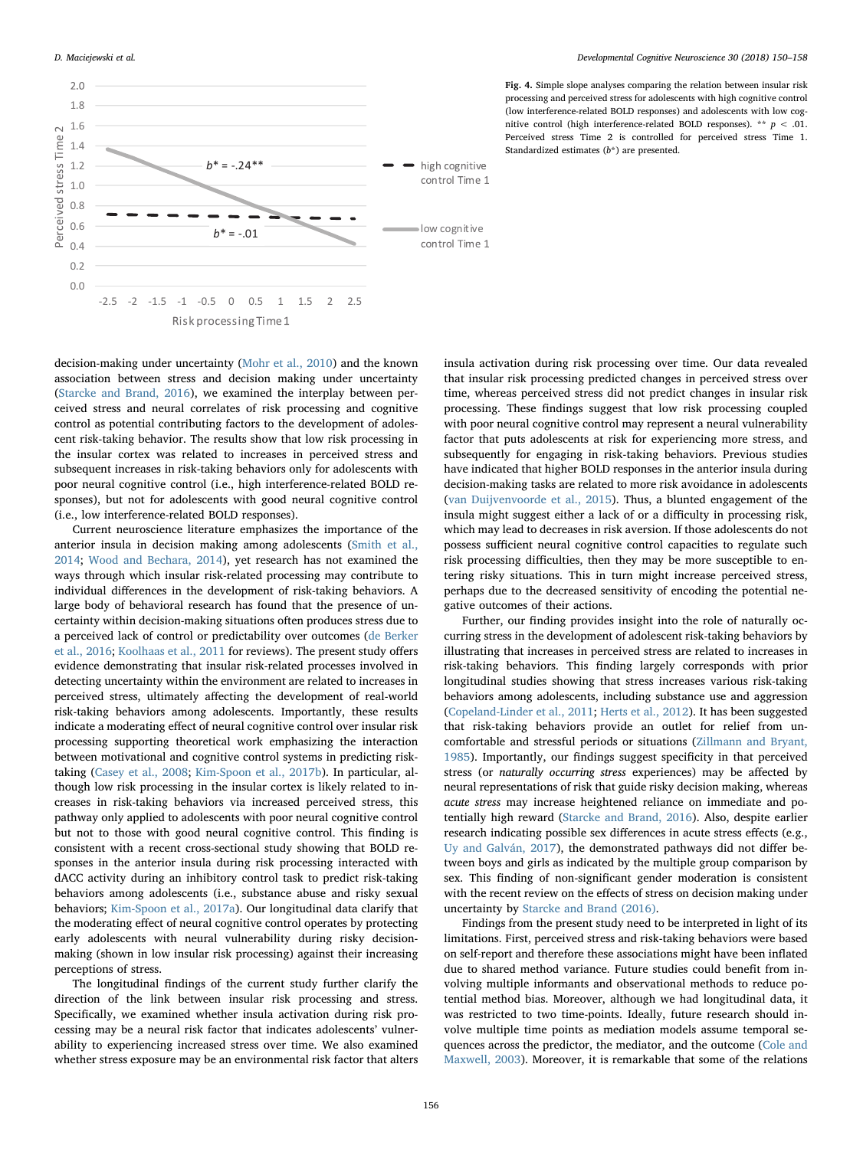<span id="page-6-0"></span>

Fig. 4. Simple slope analyses comparing the relation between insular risk processing and perceived stress for adolescents with high cognitive control (low interference-related BOLD responses) and adolescents with low cognitive control (high interference-related BOLD responses). \*\*  $p < .01$ . Perceived stress Time 2 is controlled for perceived stress Time 1. Standardized estimates (b\*) are presented.

decision-making under uncertainty [\(Mohr et al., 2010\)](#page-7-5) and the known association between stress and decision making under uncertainty ([Starcke and Brand, 2016](#page-8-4)), we examined the interplay between perceived stress and neural correlates of risk processing and cognitive control as potential contributing factors to the development of adolescent risk-taking behavior. The results show that low risk processing in the insular cortex was related to increases in perceived stress and subsequent increases in risk-taking behaviors only for adolescents with poor neural cognitive control (i.e., high interference-related BOLD responses), but not for adolescents with good neural cognitive control (i.e., low interference-related BOLD responses).

Current neuroscience literature emphasizes the importance of the anterior insula in decision making among adolescents ([Smith et al.,](#page-8-3) [2014;](#page-8-3) [Wood and Bechara, 2014\)](#page-8-11), yet research has not examined the ways through which insular risk-related processing may contribute to individual differences in the development of risk-taking behaviors. A large body of behavioral research has found that the presence of uncertainty within decision-making situations often produces stress due to a perceived lack of control or predictability over outcomes [\(de Berker](#page-7-18) [et al., 2016](#page-7-18); [Koolhaas et al., 2011](#page-7-17) for reviews). The present study offers evidence demonstrating that insular risk-related processes involved in detecting uncertainty within the environment are related to increases in perceived stress, ultimately affecting the development of real-world risk-taking behaviors among adolescents. Importantly, these results indicate a moderating effect of neural cognitive control over insular risk processing supporting theoretical work emphasizing the interaction between motivational and cognitive control systems in predicting risktaking ([Casey et al., 2008;](#page-7-19) [Kim-Spoon et al., 2017b](#page-7-2)). In particular, although low risk processing in the insular cortex is likely related to increases in risk-taking behaviors via increased perceived stress, this pathway only applied to adolescents with poor neural cognitive control but not to those with good neural cognitive control. This finding is consistent with a recent cross-sectional study showing that BOLD responses in the anterior insula during risk processing interacted with dACC activity during an inhibitory control task to predict risk-taking behaviors among adolescents (i.e., substance abuse and risky sexual behaviors; [Kim-Spoon et al., 2017a](#page-7-3)). Our longitudinal data clarify that the moderating effect of neural cognitive control operates by protecting early adolescents with neural vulnerability during risky decisionmaking (shown in low insular risk processing) against their increasing perceptions of stress.

The longitudinal findings of the current study further clarify the direction of the link between insular risk processing and stress. Specifically, we examined whether insula activation during risk processing may be a neural risk factor that indicates adolescents' vulnerability to experiencing increased stress over time. We also examined whether stress exposure may be an environmental risk factor that alters insula activation during risk processing over time. Our data revealed that insular risk processing predicted changes in perceived stress over time, whereas perceived stress did not predict changes in insular risk processing. These findings suggest that low risk processing coupled with poor neural cognitive control may represent a neural vulnerability factor that puts adolescents at risk for experiencing more stress, and subsequently for engaging in risk-taking behaviors. Previous studies have indicated that higher BOLD responses in the anterior insula during decision-making tasks are related to more risk avoidance in adolescents ([van Duijvenvoorde et al., 2015](#page-8-2)). Thus, a blunted engagement of the insula might suggest either a lack of or a difficulty in processing risk, which may lead to decreases in risk aversion. If those adolescents do not possess sufficient neural cognitive control capacities to regulate such risk processing difficulties, then they may be more susceptible to entering risky situations. This in turn might increase perceived stress, perhaps due to the decreased sensitivity of encoding the potential negative outcomes of their actions.

Further, our finding provides insight into the role of naturally occurring stress in the development of adolescent risk-taking behaviors by illustrating that increases in perceived stress are related to increases in risk-taking behaviors. This finding largely corresponds with prior longitudinal studies showing that stress increases various risk-taking behaviors among adolescents, including substance use and aggression ([Copeland-Linder et al., 2011](#page-7-28); [Herts et al., 2012](#page-7-29)). It has been suggested that risk-taking behaviors provide an outlet for relief from uncomfortable and stressful periods or situations ([Zillmann and Bryant,](#page-8-12) [1985\)](#page-8-12). Importantly, our findings suggest specificity in that perceived stress (or naturally occurring stress experiences) may be affected by neural representations of risk that guide risky decision making, whereas acute stress may increase heightened reliance on immediate and potentially high reward ([Starcke and Brand, 2016\)](#page-8-4). Also, despite earlier research indicating possible sex differences in acute stress effects (e.g., [Uy and Galván, 2017](#page-8-6)), the demonstrated pathways did not differ between boys and girls as indicated by the multiple group comparison by sex. This finding of non-significant gender moderation is consistent with the recent review on the effects of stress on decision making under uncertainty by [Starcke and Brand \(2016\).](#page-8-4)

Findings from the present study need to be interpreted in light of its limitations. First, perceived stress and risk-taking behaviors were based on self-report and therefore these associations might have been inflated due to shared method variance. Future studies could benefit from involving multiple informants and observational methods to reduce potential method bias. Moreover, although we had longitudinal data, it was restricted to two time-points. Ideally, future research should involve multiple time points as mediation models assume temporal sequences across the predictor, the mediator, and the outcome ([Cole and](#page-7-30) [Maxwell, 2003\)](#page-7-30). Moreover, it is remarkable that some of the relations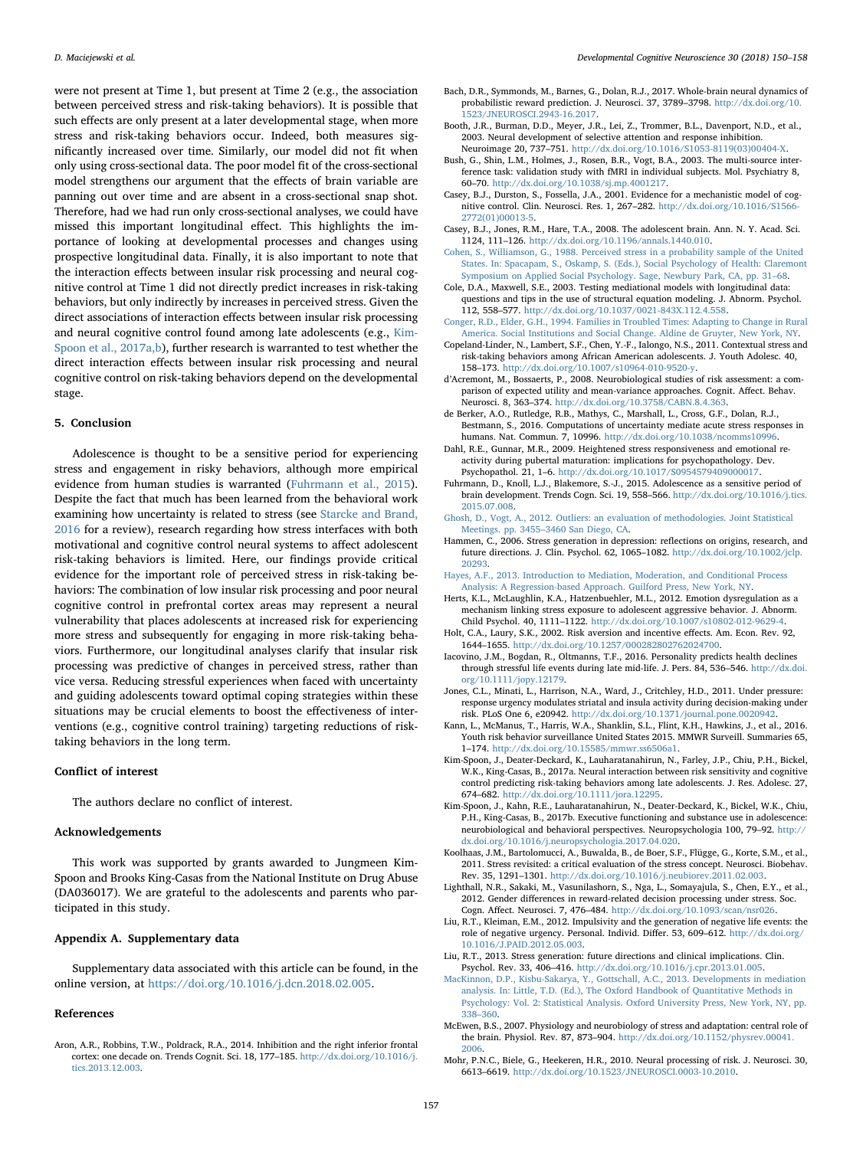were not present at Time 1, but present at Time 2 (e.g., the association between perceived stress and risk-taking behaviors). It is possible that such effects are only present at a later developmental stage, when more stress and risk-taking behaviors occur. Indeed, both measures significantly increased over time. Similarly, our model did not fit when only using cross-sectional data. The poor model fit of the cross-sectional model strengthens our argument that the effects of brain variable are panning out over time and are absent in a cross-sectional snap shot. Therefore, had we had run only cross-sectional analyses, we could have missed this important longitudinal effect. This highlights the importance of looking at developmental processes and changes using prospective longitudinal data. Finally, it is also important to note that the interaction effects between insular risk processing and neural cognitive control at Time 1 did not directly predict increases in risk-taking behaviors, but only indirectly by increases in perceived stress. Given the direct associations of interaction effects between insular risk processing and neural cognitive control found among late adolescents (e.g., [Kim-](#page-7-3)[Spoon et al., 2017a,b\)](#page-7-3), further research is warranted to test whether the direct interaction effects between insular risk processing and neural cognitive control on risk-taking behaviors depend on the developmental stage.

#### 5. Conclusion

Adolescence is thought to be a sensitive period for experiencing stress and engagement in risky behaviors, although more empirical evidence from human studies is warranted ([Fuhrmann et al., 2015](#page-7-9)). Despite the fact that much has been learned from the behavioral work examining how uncertainty is related to stress (see [Starcke and Brand,](#page-8-4) [2016](#page-8-4) for a review), research regarding how stress interfaces with both motivational and cognitive control neural systems to affect adolescent risk-taking behaviors is limited. Here, our findings provide critical evidence for the important role of perceived stress in risk-taking behaviors: The combination of low insular risk processing and poor neural cognitive control in prefrontal cortex areas may represent a neural vulnerability that places adolescents at increased risk for experiencing more stress and subsequently for engaging in more risk-taking behaviors. Furthermore, our longitudinal analyses clarify that insular risk processing was predictive of changes in perceived stress, rather than vice versa. Reducing stressful experiences when faced with uncertainty and guiding adolescents toward optimal coping strategies within these situations may be crucial elements to boost the effectiveness of interventions (e.g., cognitive control training) targeting reductions of risktaking behaviors in the long term.

## Conflict of interest

The authors declare no conflict of interest.

#### Acknowledgements

This work was supported by grants awarded to Jungmeen Kim-Spoon and Brooks King-Casas from the National Institute on Drug Abuse (DA036017). We are grateful to the adolescents and parents who participated in this study.

## Appendix A. Supplementary data

Supplementary data associated with this article can be found, in the online version, at <https://doi.org/10.1016/j.dcn.2018.02.005>.

#### References

<span id="page-7-6"></span>Aron, A.R., Robbins, T.W., Poldrack, R.A., 2014. Inhibition and the right inferior frontal cortex: one decade on. Trends Cognit. Sci. 18, 177–185. [http://dx.doi.org/10.1016/j.](http://dx.doi.org/10.1016/j.tics.2013.12.003) [tics.2013.12.003.](http://dx.doi.org/10.1016/j.tics.2013.12.003)

- <span id="page-7-23"></span>Bach, D.R., Symmonds, M., Barnes, G., Dolan, R.J., 2017. Whole-brain neural dynamics of probabilistic reward prediction. J. Neurosci. 37, 3789–3798. [http://dx.doi.org/10.](http://dx.doi.org/10.1523/JNEUROSCI.2943-16.2017) [1523/JNEUROSCI.2943-16.2017.](http://dx.doi.org/10.1523/JNEUROSCI.2943-16.2017)
- <span id="page-7-7"></span>Booth, J.R., Burman, D.D., Meyer, J.R., Lei, Z., Trommer, B.L., Davenport, N.D., et al., 2003. Neural development of selective attention and response inhibition. Neuroimage 20, 737–751. [http://dx.doi.org/10.1016/S1053-8119\(03\)00404-X.](http://dx.doi.org/10.1016/S1053-8119(03)00404-X)
- <span id="page-7-24"></span>Bush, G., Shin, L.M., Holmes, J., Rosen, B.R., Vogt, B.A., 2003. The multi-source interference task: validation study with fMRI in individual subjects. Mol. Psychiatry 8, 60–70. [http://dx.doi.org/10.1038/sj.mp.4001217.](http://dx.doi.org/10.1038/sj.mp.4001217)
- <span id="page-7-8"></span>Casey, B.J., Durston, S., Fossella, J.A., 2001. Evidence for a mechanistic model of cognitive control. Clin. Neurosci. Res. 1, 267–282. [http://dx.doi.org/10.1016/S1566-](http://dx.doi.org/10.1016/S1566-2772(01)00013-5) [2772\(01\)00013-5](http://dx.doi.org/10.1016/S1566-2772(01)00013-5).
- <span id="page-7-19"></span>Casey, B.J., Jones, R.M., Hare, T.A., 2008. The adolescent brain. Ann. N. Y. Acad. Sci. 1124, 111–126. <http://dx.doi.org/10.1196/annals.1440.010>.
- <span id="page-7-20"></span>[Cohen, S., Williamson, G., 1988. Perceived stress in a probability sample of the United](http://refhub.elsevier.com/S1878-9293(17)30205-0/sbref0035) [States. In: Spacapam, S., Oskamp, S. \(Eds.\), Social Psychology of Health: Claremont](http://refhub.elsevier.com/S1878-9293(17)30205-0/sbref0035) [Symposium on Applied Social Psychology. Sage, Newbury Park, CA, pp. 31](http://refhub.elsevier.com/S1878-9293(17)30205-0/sbref0035)–68.
- <span id="page-7-30"></span>Cole, D.A., Maxwell, S.E., 2003. Testing mediational models with longitudinal data: questions and tips in the use of structural equation modeling. J. Abnorm. Psychol. 112, 558–577. <http://dx.doi.org/10.1037/0021-843X.112.4.558>.
- <span id="page-7-21"></span>[Conger, R.D., Elder, G.H., 1994. Families in Troubled Times: Adapting to Change in Rural](http://refhub.elsevier.com/S1878-9293(17)30205-0/sbref0045) [America. Social Institutions and Social Change. Aldine de Gruyter, New York, NY](http://refhub.elsevier.com/S1878-9293(17)30205-0/sbref0045).
- <span id="page-7-28"></span>Copeland-Linder, N., Lambert, S.F., Chen, Y.-F., Ialongo, N.S., 2011. Contextual stress and risk-taking behaviors among African American adolescents. J. Youth Adolesc. 40, 158–173. <http://dx.doi.org/10.1007/s10964-010-9520-y>.
- <span id="page-7-4"></span>d'Acremont, M., Bossaerts, P., 2008. Neurobiological studies of risk assessment: a comparison of expected utility and mean-variance approaches. Cognit. Affect. Behav. Neurosci. 8, 363–374. <http://dx.doi.org/10.3758/CABN.8.4.363>.
- <span id="page-7-18"></span>de Berker, A.O., Rutledge, R.B., Mathys, C., Marshall, L., Cross, G.F., Dolan, R.J., Bestmann, S., 2016. Computations of uncertainty mediate acute stress responses in humans. Nat. Commun. 7, 10996. [http://dx.doi.org/10.1038/ncomms10996.](http://dx.doi.org/10.1038/ncomms10996)
- <span id="page-7-0"></span>Dahl, R.E., Gunnar, M.R., 2009. Heightened stress responsiveness and emotional reactivity during pubertal maturation: implications for psychopathology. Dev. Psychopathol. 21, 1–6. <http://dx.doi.org/10.1017/S0954579409000017>.
- <span id="page-7-9"></span>Fuhrmann, D., Knoll, L.J., Blakemore, S.-J., 2015. Adolescence as a sensitive period of brain development. Trends Cogn. Sci. 19, 558–566. [http://dx.doi.org/10.1016/j.tics.](http://dx.doi.org/10.1016/j.tics.2015.07.008) [2015.07.008](http://dx.doi.org/10.1016/j.tics.2015.07.008).
- <span id="page-7-27"></span>[Ghosh, D., Vogt, A., 2012. Outliers: an evaluation of methodologies. Joint Statistical](http://refhub.elsevier.com/S1878-9293(17)30205-0/sbref0075) Meetings. pp. 3455–[3460 San Diego, CA.](http://refhub.elsevier.com/S1878-9293(17)30205-0/sbref0075)
- <span id="page-7-13"></span>Hammen, C., 2006. Stress generation in depression: reflections on origins, research, and future directions. J. Clin. Psychol. 62, 1065–1082. [http://dx.doi.org/10.1002/jclp.](http://dx.doi.org/10.1002/jclp.20293) [20293.](http://dx.doi.org/10.1002/jclp.20293)
- <span id="page-7-25"></span>Hayes, [A.F., 2013. Introduction to Mediation, Moderation, and Conditional Process](http://refhub.elsevier.com/S1878-9293(17)30205-0/sbref0085) [Analysis: A Regression-based Approach. Guilford Press, New York, NY.](http://refhub.elsevier.com/S1878-9293(17)30205-0/sbref0085)
- <span id="page-7-29"></span>Herts, K.L., McLaughlin, K.A., Hatzenbuehler, M.L., 2012. Emotion dysregulation as a mechanism linking stress exposure to adolescent aggressive behavior. J. Abnorm. Child Psychol. 40, 1111–1122. <http://dx.doi.org/10.1007/s10802-012-9629-4>.
- <span id="page-7-22"></span>Holt, C.A., Laury, S.K., 2002. Risk aversion and incentive effects. Am. Econ. Rev. 92, 1644–1655. [http://dx.doi.org/10.1257/000282802762024700.](http://dx.doi.org/10.1257/000282802762024700)
- <span id="page-7-15"></span>Iacovino, J.M., Bogdan, R., Oltmanns, T.F., 2016. Personality predicts health declines through stressful life events during late mid-life. J. Pers. 84, 536–546. [http://dx.doi.](http://dx.doi.org/10.1111/jopy.12179) [org/10.1111/jopy.12179](http://dx.doi.org/10.1111/jopy.12179).
- <span id="page-7-12"></span>Jones, C.L., Minati, L., Harrison, N.A., Ward, J., Critchley, H.D., 2011. Under pressure: response urgency modulates striatal and insula activity during decision-making under risk. PLoS One 6, e20942. <http://dx.doi.org/10.1371/journal.pone.0020942>.
- <span id="page-7-1"></span>Kann, L., McManus, T., Harris, W.A., Shanklin, S.L., Flint, K.H., Hawkins, J., et al., 2016. Youth risk behavior surveillance United States 2015. MMWR Surveill. Summaries 65, 1–174. [http://dx.doi.org/10.15585/mmwr.ss6506a1.](http://dx.doi.org/10.15585/mmwr.ss6506a1)
- <span id="page-7-3"></span>Kim-Spoon, J., Deater-Deckard, K., Lauharatanahirun, N., Farley, J.P., Chiu, P.H., Bickel, W.K., King-Casas, B., 2017a. Neural interaction between risk sensitivity and cognitive control predicting risk-taking behaviors among late adolescents. J. Res. Adolesc. 27, 674–682. [http://dx.doi.org/10.1111/jora.12295.](http://dx.doi.org/10.1111/jora.12295)
- <span id="page-7-2"></span>Kim-Spoon, J., Kahn, R.E., Lauharatanahirun, N., Deater-Deckard, K., Bickel, W.K., Chiu, P.H., King-Casas, B., 2017b. Executive functioning and substance use in adolescence: neurobiological and behavioral perspectives. Neuropsychologia 100, 79–92. [http://](http://dx.doi.org/10.1016/j.neuropsychologia.2017.04.020) [dx.doi.org/10.1016/j.neuropsychologia.2017.04.020.](http://dx.doi.org/10.1016/j.neuropsychologia.2017.04.020)
- <span id="page-7-17"></span>Koolhaas, J.M., Bartolomucci, A., Buwalda, B., de Boer, S.F., Flügge, G., Korte, S.M., et al., 2011. Stress revisited: a critical evaluation of the stress concept. Neurosci. Biobehav. Rev. 35, 1291–1301. <http://dx.doi.org/10.1016/j.neubiorev.2011.02.003>.
- <span id="page-7-11"></span>Lighthall, N.R., Sakaki, M., Vasunilashorn, S., Nga, L., Somayajula, S., Chen, E.Y., et al., 2012. Gender differences in reward-related decision processing under stress. Soc. Cogn. Affect. Neurosci. 7, 476–484. <http://dx.doi.org/10.1093/scan/nsr026>.
- <span id="page-7-16"></span>Liu, R.T., Kleiman, E.M., 2012. Impulsivity and the generation of negative life events: the role of negative urgency. Personal. Individ. Differ. 53, 609–612. [http://dx.doi.org/](http://dx.doi.org/10.1016/J.PAID.2012.05.003) [10.1016/J.PAID.2012.05.003](http://dx.doi.org/10.1016/J.PAID.2012.05.003).
- <span id="page-7-14"></span>Liu, R.T., 2013. Stress generation: future directions and clinical implications. Clin. Psychol. Rev. 33, 406–416. [http://dx.doi.org/10.1016/j.cpr.2013.01.005.](http://dx.doi.org/10.1016/j.cpr.2013.01.005)
- <span id="page-7-26"></span>[MacKinnon, D.P., Kisbu-Sakarya, Y., Gottschall, A.C., 2013. Developments in mediation](http://refhub.elsevier.com/S1878-9293(17)30205-0/sbref0145) [analysis. In: Little, T.D. \(Ed.\), The Oxford Handbook of Quantitative Methods in](http://refhub.elsevier.com/S1878-9293(17)30205-0/sbref0145) [Psychology: Vol. 2: Statistical Analysis. Oxford University Press, New York, NY, pp.](http://refhub.elsevier.com/S1878-9293(17)30205-0/sbref0145) 338–[360](http://refhub.elsevier.com/S1878-9293(17)30205-0/sbref0145).
- <span id="page-7-10"></span>McEwen, B.S., 2007. Physiology and neurobiology of stress and adaptation: central role of the brain. Physiol. Rev. 87, 873–904. [http://dx.doi.org/10.1152/physrev.00041.](http://dx.doi.org/10.1152/physrev.00041.2006) [2006.](http://dx.doi.org/10.1152/physrev.00041.2006)
- <span id="page-7-5"></span>Mohr, P.N.C., Biele, G., Heekeren, H.R., 2010. Neural processing of risk. J. Neurosci. 30, 6613–6619. [http://dx.doi.org/10.1523/JNEUROSCI.0003-10.2010.](http://dx.doi.org/10.1523/JNEUROSCI.0003-10.2010)